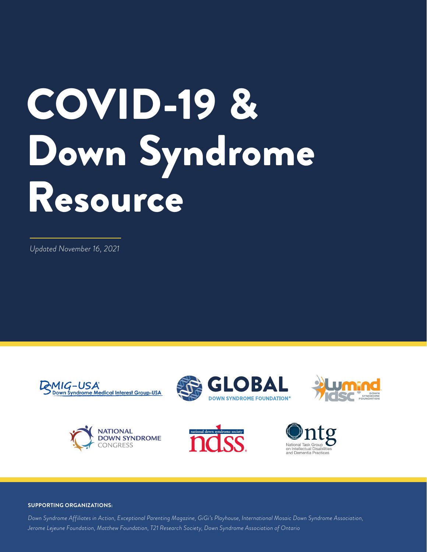# COVID-19 & Down Syndrome Resource

*Updated November 16, 2021*











#### **SUPPORTING ORGANIZATIONS:**

*Down Syndrome Affiliates in Action, Exceptional Parenting Magazine, GiGi's Playhouse, International Mosaic Down Syndrome Association, Jerome Lejeune Foundation, Matthew Foundation, T21 Research Society, Down Syndrome Association of Ontario*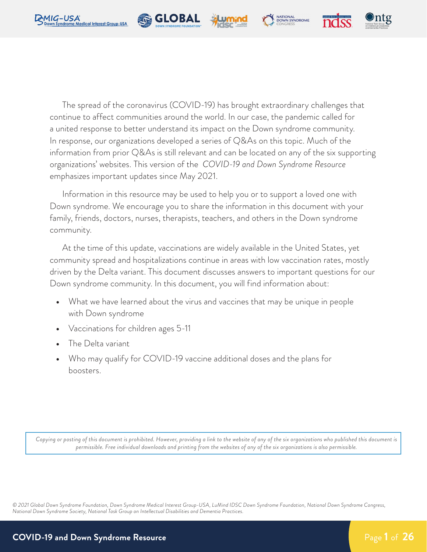







The spread of the coronavirus (COVID-19) has brought extraordinary challenges that continue to affect communities around the world. In our case, the pandemic called for a united response to better understand its impact on the Down syndrome community. In response, our organizations developed a series of Q&As on this topic. Much of the information from prior Q&As is still relevant and can be located on any of the six supporting organizations' websites. This version of the *COVID-19 and Down Syndrome Resource* emphasizes important updates since May 2021.

Information in this resource may be used to help you or to support a loved one with Down syndrome. We encourage you to share the information in this document with your family, friends, doctors, nurses, therapists, teachers, and others in the Down syndrome community.

At the time of this update, vaccinations are widely available in the United States, yet community spread and hospitalizations continue in areas with low vaccination rates, mostly driven by the Delta variant. This document discusses answers to important questions for our Down syndrome community. In this document, you will find information about:

- **•** What we have learned about the virus and vaccines that may be unique in people with Down syndrome
- **•** Vaccinations for children ages 5-11
- **•** The Delta variant
- **•** Who may qualify for COVID-19 vaccine additional doses and the plans for boosters.

*Copying or posting of this document is prohibited. However, providing a link to the website of any of the six organizations who published this document is permissible. Free individual downloads and printing from the websites of any of the six organizations is also permissible.*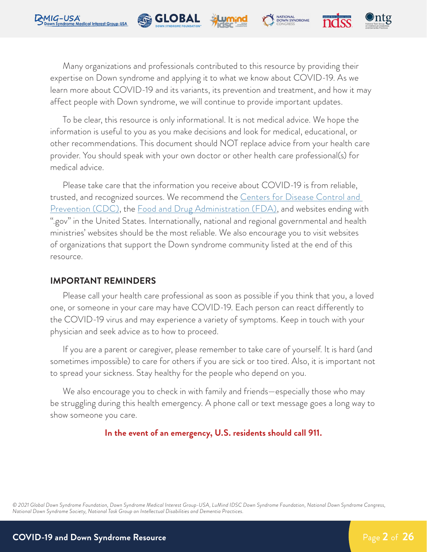

Many organizations and professionals contributed to this resource by providing their expertise on Down syndrome and applying it to what we know about COVID-19. As we learn more about COVID-19 and its variants, its prevention and treatment, and how it may affect people with Down syndrome, we will continue to provide important updates.

NATIONAL<br>DOWN SYNDROME

**Re** GLOBAL

To be clear, this resource is only informational. It is not medical advice. We hope the information is useful to you as you make decisions and look for medical, educational, or other recommendations. This document should NOT replace advice from your health care provider. You should speak with your own doctor or other health care professional(s) for medical advice.

Please take care that the information you receive about COVID-19 is from reliable, trusted, and recognized sources. We recommend the Centers for Disease Control and [Prevention \(CDC\)](https://www.cdc.gov/coronavirus/2019-ncov/index.html), the [Food and Drug Administration \(FDA\),](https://www.fda.gov/) and websites ending with ".gov" in the United States. Internationally, national and regional governmental and health ministries' websites should be the most reliable. We also encourage you to visit websites of organizations that support the Down syndrome community listed at the end of this resource.

#### **IMPORTANT REMINDERS**

Please call your health care professional as soon as possible if you think that you, a loved one, or someone in your care may have COVID-19. Each person can react differently to the COVID-19 virus and may experience a variety of symptoms. Keep in touch with your physician and seek advice as to how to proceed.

If you are a parent or caregiver, please remember to take care of yourself. It is hard (and sometimes impossible) to care for others if you are sick or too tired. Also, it is important not to spread your sickness. Stay healthy for the people who depend on you.

We also encourage you to check in with family and friends—especially those who may be struggling during this health emergency. A phone call or text message goes a long way to show someone you care.

**In the event of an emergency, U.S. residents should call 911.**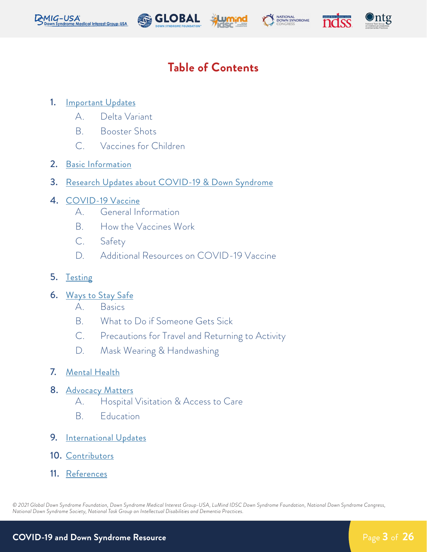









## **Table of Contents**

#### 1. **[Important Updates](#page-4-0)**

- A. Delta Variant
- B. Booster Shots
- C. Vaccines for Children
- 2. [Basic Information](#page-6-0)
- 3. [Research Updates about COVID-19 & Down Syndrome](#page-7-0)
- 4. [COVID-19 Vaccine](#page-8-0)
	- A. General Information
	- B. How the Vaccines Work
	- C. Safety
	- D. Additional Resources on COVID-19 Vaccine
- 5. [Testing](#page-11-0)
- 6. [Ways to Stay Safe](#page-13-0)
	- A. Basics
	- B. What to Do if Someone Gets Sick
	- C. Precautions for Travel and Returning to Activity
	- D. Mask Wearing & Handwashing
- 7. [Mental Health](#page-17-0)
- 8. [Advocacy Matters](#page-19-0)
	- A. Hospital Visitation & Access to Care
	- B. Education
- 9. [International Updates](#page-21-0)
- 10. [Contributors](#page-22-0)
- 11. [References](#page-23-0)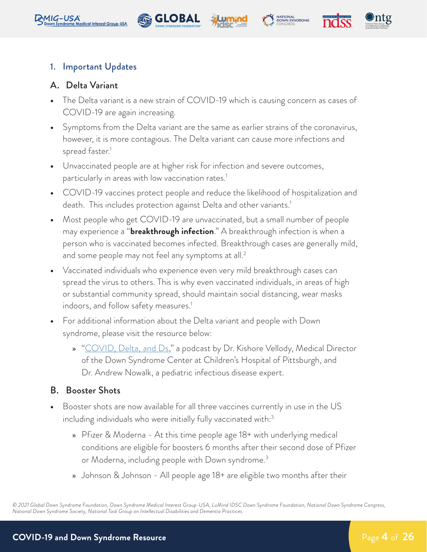<span id="page-4-0"></span>









#### 1. Important Updates

#### A. Delta Variant

- **•** The Delta variant is a new strain of COVID-19 which is causing concern as cases of COVID-19 are again increasing.
- **•** Symptoms from the Delta variant are the same as earlier strains of the coronavirus, however, it is more contagious. The Delta variant can cause more infections and spread faster.<sup>1</sup>
- **•** Unvaccinated people are at higher risk for infection and severe outcomes, particularly in areas with low vaccination rates.<sup>1</sup>
- **•** COVID-19 vaccines protect people and reduce the likelihood of hospitalization and death. This includes protection against Delta and other variants.<sup>1</sup>
- **•** Most people who get COVID-19 are unvaccinated, but a small number of people may experience a "**breakthrough infection**." A breakthrough infection is when a person who is vaccinated becomes infected. Breakthrough cases are generally mild, and some people may not feel any symptoms at all.<sup>2</sup>
- **•** Vaccinated individuals who experience even very mild breakthrough cases can spread the virus to others. This is why even vaccinated individuals, in areas of high or substantial community spread, should maintain social distancing, wear masks indoors, and follow safety measures.<sup>1</sup>
- **•** For additional information about the Delta variant and people with Down syndrome, please visit the resource below:
	- » <u>"[COVID, Delta, and Ds](https://podcasts.apple.com/us/podcast/112-covid-delta-and-ds-with-dr-andrew-nowalk/id602494060?i=1000534091865)</u>," a podcast by Dr. Kishore Vellody, Medical Director of the Down Syndrome Center at Children's Hospital of Pittsburgh, and Dr. Andrew Nowalk, a pediatric infectious disease expert.

#### B. Booster Shots

- **•** Booster shots are now available for all three vaccines currently in use in the US including individuals who were initially fully vaccinated with:<sup>3</sup>
	- » Pfizer & Moderna At this time people age 18+ with underlying medical conditions are eligible for boosters 6 months after their second dose of Pfizer or Moderna, including people with Down syndrome.3
	- » Johnson & Johnson All people age 18+ are eligible two months after their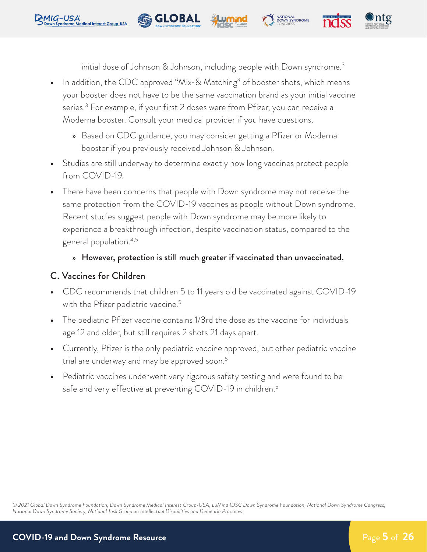initial dose of Johnson & Johnson, including people with Down syndrome.3

NATIONAL<br>DOWN SYNDROME

**•** In addition, the CDC approved "Mix-& Matching" of booster shots, which means your booster does not have to be the same vaccination brand as your initial vaccine series.3 For example, if your first 2 doses were from Pfizer, you can receive a Moderna booster. Consult your medical provider if you have questions.

**Re** GLOBAL

- » Based on CDC guidance, you may consider getting a Pfizer or Moderna booster if you previously received Johnson & Johnson.
- **•** Studies are still underway to determine exactly how long vaccines protect people from COVID-19.
- **•** There have been concerns that people with Down syndrome may not receive the same protection from the COVID-19 vaccines as people without Down syndrome. Recent studies suggest people with Down syndrome may be more likely to experience a breakthrough infection, despite vaccination status, compared to the general population.4,5

#### » However, protection is still much greater if vaccinated than unvaccinated.

### C. Vaccines for Children

RMIG-USA

- **•** CDC recommends that children 5 to 11 years old be vaccinated against COVID-19 with the Pfizer pediatric vaccine.<sup>5</sup>
- **•** The pediatric Pfizer vaccine contains 1/3rd the dose as the vaccine for individuals age 12 and older, but still requires 2 shots 21 days apart.
- **•** Currently, Pfizer is the only pediatric vaccine approved, but other pediatric vaccine trial are underway and may be approved soon.<sup>5</sup>
- **•** Pediatric vaccines underwent very rigorous safety testing and were found to be safe and very effective at preventing COVID-19 in children.<sup>5</sup>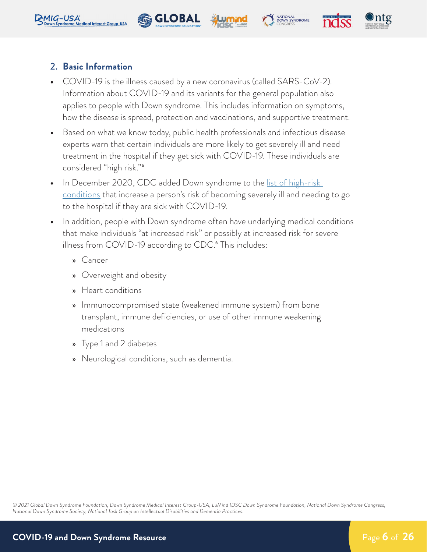<span id="page-6-0"></span>







#### 2. **Basic Information**

- **•** COVID-19 is the illness caused by a new coronavirus (called SARS-CoV-2). Information about COVID-19 and its variants for the general population also applies to people with Down syndrome. This includes information on symptoms, how the disease is spread, protection and vaccinations, and supportive treatment.
- **•** Based on what we know today, public health professionals and infectious disease experts warn that certain individuals are more likely to get severely ill and need treatment in the hospital if they get sick with COVID-19. These individuals are considered "high risk."6
- **•** In December 2020, CDC added Down syndrome to the [list of high-risk](https://www.cdc.gov/coronavirus/2019-ncov/need-extra-precautions/people-with-medical-conditions.html)  [conditions](https://www.cdc.gov/coronavirus/2019-ncov/need-extra-precautions/people-with-medical-conditions.html) that increase a person's risk of becoming severely ill and needing to go to the hospital if they are sick with COVID-19.
- **•** In addition, people with Down syndrome often have underlying medical conditions that make individuals "at increased risk" or possibly at increased risk for severe illness from COVID-19 according to CDC.<sup>6</sup> This includes:
	- » Cancer
	- » Overweight and obesity
	- » Heart conditions
	- » Immunocompromised state (weakened immune system) from bone transplant, immune deficiencies, or use of other immune weakening medications
	- » Type 1 and 2 diabetes
	- » Neurological conditions, such as dementia.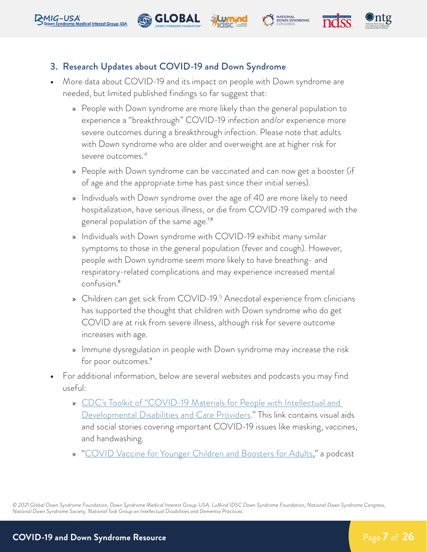<span id="page-7-0"></span>



**Re** GLOBAL

- **•** More data about COVID-19 and its impact on people with Down syndrome are needed, but limited published findings so far suggest that:
	- » People with Down syndrome are more likely than the general population to experience a "breakthrough" COVID-19 infection and/or experience more severe outcomes during a breakthrough infection. Please note that adults with Down syndrome who are older and overweight are at higher risk for severe outcomes.<sup>4</sup>

NATIONAL<br>DOWN SYNDROME

- » People with Down syndrome can be vaccinated and can now get a booster (if of age and the appropriate time has past since their initial series).
- » Individuals with Down syndrome over the age of 40 are more likely to need hospitalization, have serious illness, or die from COVID-19 compared with the general population of the same age.<sup>7,8</sup>
- » Individuals with Down syndrome with COVID-19 exhibit many similar symptoms to those in the general population (fever and cough). However, people with Down syndrome seem more likely to have breathing- and respiratory-related complications and may experience increased mental confusion.8
- » Children can get sick from COVID-19.<sup>5</sup> Anecdotal experience from clinicians has supported the thought that children with Down syndrome who do get COVID are at risk from severe illness, although risk for severe outcome increases with age.
- » Immune dysregulation in people with Down syndrome may increase the risk for poor outcomes.<sup>9</sup>
- **•** For additional information, below are several websites and podcasts you may find useful:
	- » [CDC's Toolkit of "COVID-19 Materials for People with Intellectual and](https://www.cdc.gov/ncbddd/humandevelopment/COVID-19-Materials-for-People-with-IDD.html)  [Developmental Disabilities and Care Providers.](https://www.cdc.gov/ncbddd/humandevelopment/COVID-19-Materials-for-People-with-IDD.html)" This link contains visual aids and social stories covering important COVID-19 issues like masking, vaccines, and handwashing.
	- » "[COVID Vaccine for Younger Children and Boosters for Adults](https://downsyndromecenter.libsyn.com/117-covid-vaccine-for-younger-children-and-boosters-for-adults)," a podcast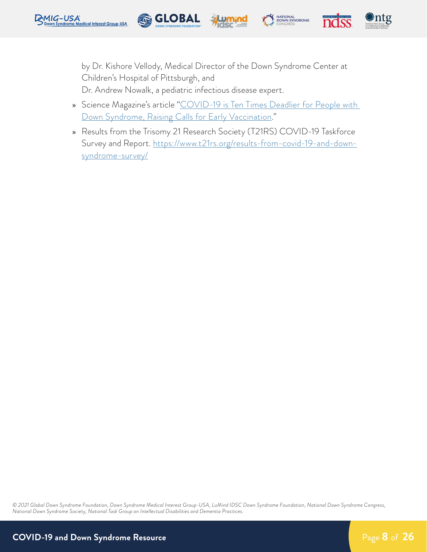<span id="page-8-0"></span>





by Dr. Kishore Vellody, Medical Director of the Down Syndrome Center at Children's Hospital of Pittsburgh, and Dr. Andrew Nowalk, a pediatric infectious disease expert.

**SE GLOBAL** 

- » Science Magazine's article ["COVID-19 is Ten Times Deadlier for People with](https://www.sciencemag.org/news/2020/12/covid-19-10-times-deadlier-people-down-syndrome-raising-calls-early-vaccination)  [Down Syndrome, Raising Calls for Early Vaccination.](https://www.sciencemag.org/news/2020/12/covid-19-10-times-deadlier-people-down-syndrome-raising-calls-early-vaccination)"
- » Results from the Trisomy 21 Research Society (T21RS) COVID-19 Taskforce Survey and Report. [https://www.t21rs.org/results-from-covid-19-and-down](https://www.t21rs.org/results-from-covid-19-and-down-syndrome-survey/)[syndrome-survey/](https://www.t21rs.org/results-from-covid-19-and-down-syndrome-survey/)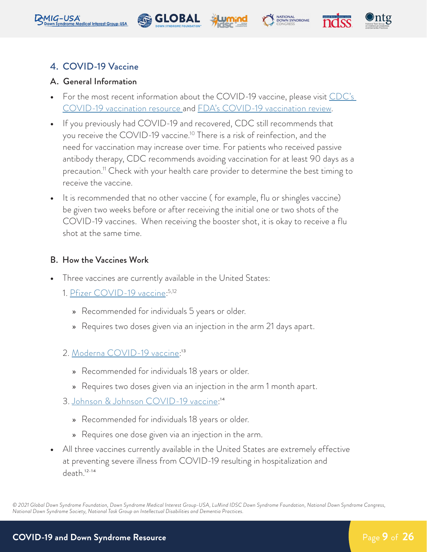









#### 4. COVID-19 Vaccine

#### A. General Information

- **•** For the most recent information about the COVID-19 vaccine, please visit [CDC's](https://www.cdc.gov/vaccines/covid-19/index.html)  [COVID-19 vaccination resource](https://www.cdc.gov/vaccines/covid-19/index.html) and [FDA's COVID-19 vaccination review](https://www.fda.gov/emergency-preparedness-and-response/coronavirus-disease-2019-covid-19/covid-19-vaccines).
- **•** If you previously had COVID-19 and recovered, CDC still recommends that you receive the COVID-19 vaccine.<sup>10</sup> There is a risk of reinfection, and the need for vaccination may increase over time. For patients who received passive antibody therapy, CDC recommends avoiding vaccination for at least 90 days as a precaution.<sup>11</sup> Check with your health care provider to determine the best timing to receive the vaccine.
- **•** It is recommended that no other vaccine ( for example, flu or shingles vaccine) be given two weeks before or after receiving the initial one or two shots of the COVID-19 vaccines. When receiving the booster shot, it is okay to receive a flu shot at the same time.

#### B. How the Vaccines Work

- **•** Three vaccines are currently available in the United States:
	- 1. <u>Pfizer COVID-19 vaccine</u>:<sup>5,12</sup>
		- » Recommended for individuals 5 years or older.
		- » Requires two doses given via an injection in the arm 21 days apart.
	- 2. [Moderna COVID-19 vaccine:](https://www.fda.gov/media/144636/download)<sup>13</sup>
		- » Recommended for individuals 18 years or older.
		- » Requires two doses given via an injection in the arm 1 month apart.
	- 3. Johnson & Johnson [COVID-19 vaccine](https://www.fda.gov/news-events/press-announcements/fda-issues-emergency-use-authorization-third-covid-19-vaccine):<sup>14</sup>
		- » Recommended for individuals 18 years or older.
		- » Requires one dose given via an injection in the arm.
- **•** All three vaccines currently available in the United States are extremely effective at preventing severe illness from COVID-19 resulting in hospitalization and death.12- 14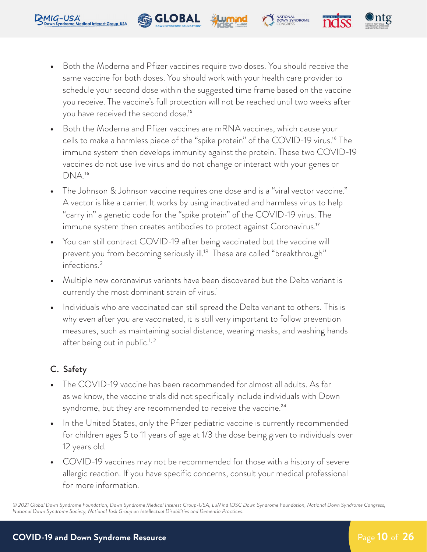**•** Both the Moderna and Pfizer vaccines require two doses. You should receive the same vaccine for both doses. You should work with your health care provider to schedule your second dose within the suggested time frame based on the vaccine you receive. The vaccine's full protection will not be reached until two weeks after you have received the second dose.<sup>15</sup>

NATIONAL<br>DOWN SYNDROME

**Re** GLOBAL

- **•** Both the Moderna and Pfizer vaccines are mRNA vaccines, which cause your cells to make a harmless piece of the "spike protein" of the COVID-19 virus.<sup>16</sup> The immune system then develops immunity against the protein. These two COVID-19 vaccines do not use live virus and do not change or interact with your genes or DNA.16
- **•** The Johnson & Johnson vaccine requires one dose and is a "viral vector vaccine." A vector is like a carrier. It works by using inactivated and harmless virus to help "carry in" a genetic code for the "spike protein" of the COVID-19 virus. The immune system then creates antibodies to protect against Coronavirus.<sup>17</sup>
- **•** You can still contract COVID-19 after being vaccinated but the vaccine will prevent you from becoming seriously ill.<sup>18</sup> These are called "breakthrough" infections.2
- **•** Multiple new coronavirus variants have been discovered but the Delta variant is currently the most dominant strain of virus.<sup>1</sup>
- **•** Individuals who are vaccinated can still spread the Delta variant to others. This is why even after you are vaccinated, it is still very important to follow prevention measures, such as maintaining social distance, wearing masks, and washing hands after being out in public.<sup>1, 2</sup>

### C. Safety

- **•** The COVID-19 vaccine has been recommended for almost all adults. As far as we know, the vaccine trials did not specifically include individuals with Down syndrome, but they are recommended to receive the vaccine.<sup>24</sup>
- **•** In the United States, only the Pfizer pediatric vaccine is currently recommended for children ages 5 to 11 years of age at 1/3 the dose being given to individuals over 12 years old.
- **•** COVID-19 vaccines may not be recommended for those with a history of severe allergic reaction. If you have specific concerns, consult your medical professional for more information.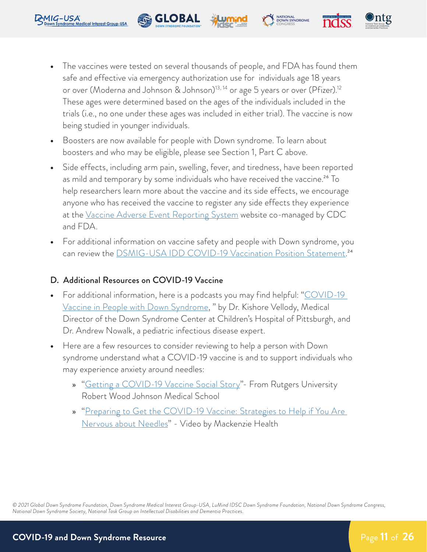- <span id="page-11-0"></span>**DAIG-USA** 
	- **•** The vaccines were tested on several thousands of people, and FDA has found them safe and effective via emergency authorization use for individuals age 18 years or over (Moderna and Johnson & Johnson)<sup>13, 14</sup> or age 5 years or over (Pfizer).<sup>12</sup> These ages were determined based on the ages of the individuals included in the trials (i.e., no one under these ages was included in either trial). The vaccine is now being studied in younger individuals.

**•** Boosters are now available for people with Down syndrome. To learn about boosters and who may be eligible, please see Section 1, Part C above.

**Re** GLOBAL

- **•** Side effects, including arm pain, swelling, fever, and tiredness, have been reported as mild and temporary by some individuals who have received the vaccine.<sup>26</sup> To help researchers learn more about the vaccine and its side effects, we encourage anyone who has received the vaccine to register any side effects they experience at the [Vaccine Adverse Event Reporting System](https://vaers.hhs.gov/index.html) website co-managed by CDC and FDA.
- **•** For additional information on vaccine safety and people with Down syndrome, you can review the [DSMIG-USA IDD COVID-19 Vaccination Position Statement.](https://www.dsmig-usa.org/resources/Documents/DSMIG COVID vaccine position statement_121720.pdf)<sup>24</sup>

#### D. Additional Resources on COVID-19 Vaccine

- **•** For additional information, here is a podcasts you may find helpful: "[COVID-19](https://www.chp.edu/our-services/down-syndrome/podcasts/covid-vaccine)  [Vaccine in People with Down Syndrome,](https://www.chp.edu/our-services/down-syndrome/podcasts/covid-vaccine) " by Dr. Kishore Vellody, Medical Director of the Down Syndrome Center at Children's Hospital of Pittsburgh, and Dr. Andrew Nowalk, a pediatric infectious disease expert.
- **•** Here are a few resources to consider reviewing to help a person with Down syndrome understand what a COVID-19 vaccine is and to support individuals who may experience anxiety around needles:
	- » "[Getting a COVID-19 Vaccine Social Story](https://rwjms.rutgers.edu/boggscenter/publications/documents/GettingACOVID19VaccineSocialStoryIDD-F.pdf)"- From Rutgers University Robert Wood Johnson Medical School
	- » "[Preparing to Get the COVID-19 Vaccine: Strategies to Help if You Are](https://www.youtube.com/watch?v=CbtjQbeMlTE)  [Nervous about Needles](https://www.youtube.com/watch?v=CbtjQbeMlTE)" - Video by Mackenzie Health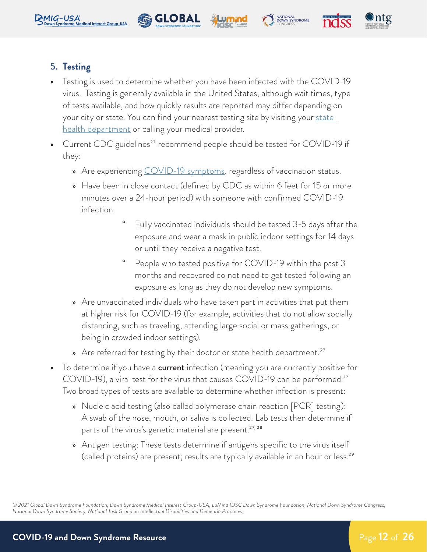







### 5. **Testing**

**•** Testing is used to determine whether you have been infected with the COVID-19 virus. Testing is generally available in the United States, although wait times, type of tests available, and how quickly results are reported may differ depending on your city or state. You can find your nearest testing site by visiting your <u>state</u> [health department](https://www.usa.gov/state-health) or calling your medical provider.

**Re** GLOBAL

- Current CDC guidelines<sup>27</sup> recommend people should be tested for COVID-19 if they:
	- » Are experiencing [COVID-19 symptoms](https://www.cdc.gov/coronavirus/2019-ncov/symptoms-testing/symptoms.html), regardless of vaccination status.
	- » Have been in close contact (defined by CDC as within 6 feet for 15 or more minutes over a 24-hour period) with someone with confirmed COVID-19 infection.
		- ° Fully vaccinated individuals should be tested 3-5 days after the exposure and wear a mask in public indoor settings for 14 days or until they receive a negative test.
		- People who tested positive for COVID-19 within the past 3 months and recovered do not need to get tested following an exposure as long as they do not develop new symptoms.
	- » Are unvaccinated individuals who have taken part in activities that put them at higher risk for COVID-19 (for example, activities that do not allow socially distancing, such as traveling, attending large social or mass gatherings, or being in crowded indoor settings).
	- » Are referred for testing by their doctor or state health department.<sup>27</sup>
- **•** To determine if you have a current infection (meaning you are currently positive for COVID-19), a viral test for the virus that causes COVID-19 can be performed.<sup>27</sup> Two broad types of tests are available to determine whether infection is present:
	- » Nucleic acid testing (also called polymerase chain reaction [PCR] testing): A swab of the nose, mouth, or saliva is collected. Lab tests then determine if parts of the virus's genetic material are present.<sup>27, 28</sup>
	- » Antigen testing: These tests determine if antigens specific to the virus itself (called proteins) are present; results are typically available in an hour or less.<sup>29</sup>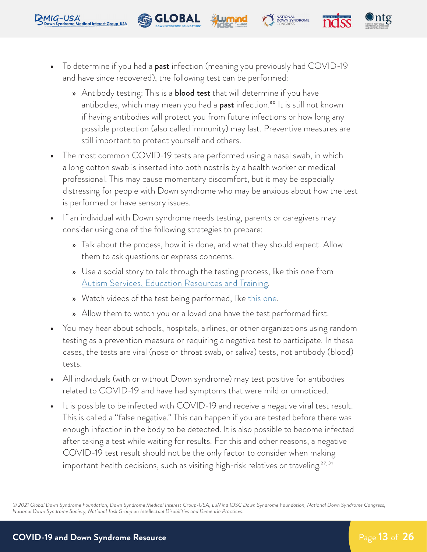

**Re** GLOBAL

<span id="page-13-0"></span>**DAIG-USA** 

» Antibody testing: This is a **blood test** that will determine if you have antibodies, which may mean you had a **past** infection.<sup>30</sup> It is still not known if having antibodies will protect you from future infections or how long any possible protection (also called immunity) may last. Preventive measures are still important to protect yourself and others.

NATIONAL<br>DOWN SYNDROME

- **•** The most common COVID-19 tests are performed using a nasal swab, in which a long cotton swab is inserted into both nostrils by a health worker or medical professional. This may cause momentary discomfort, but it may be especially distressing for people with Down syndrome who may be anxious about how the test is performed or have sensory issues.
- **•** If an individual with Down syndrome needs testing, parents or caregivers may consider using one of the following strategies to prepare:
	- » Talk about the process, how it is done, and what they should expect. Allow them to ask questions or express concerns.
	- » Use a social story to talk through the testing process, like this one from [Autism Services, Education Resources and Training](https://paautism.org/resource/testing-covid-social-story/).
	- » Watch videos of the test being performed, like [this one.](https://www.youtube.com/watch?v=mCIDZ9DsaKU)
	- » Allow them to watch you or a loved one have the test performed first.
- **•** You may hear about schools, hospitals, airlines, or other organizations using random testing as a prevention measure or requiring a negative test to participate. In these cases, the tests are viral (nose or throat swab, or saliva) tests, not antibody (blood) tests.
- **•** All individuals (with or without Down syndrome) may test positive for antibodies related to COVID-19 and have had symptoms that were mild or unnoticed.
- **•** It is possible to be infected with COVID-19 and receive a negative viral test result. This is called a "false negative." This can happen if you are tested before there was enough infection in the body to be detected. It is also possible to become infected after taking a test while waiting for results. For this and other reasons, a negative COVID-19 test result should not be the only factor to consider when making important health decisions, such as visiting high-risk relatives or traveling. $^{27,\,31}$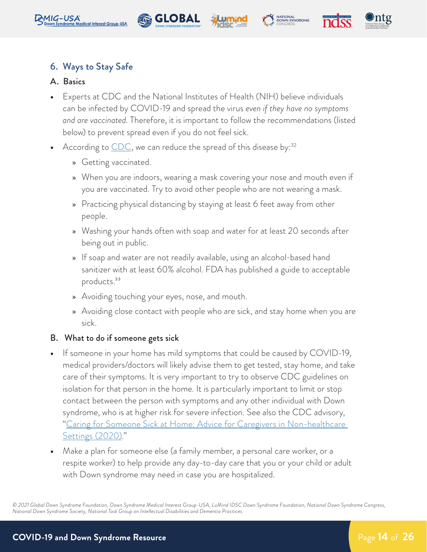









#### 6. Ways to Stay Safe

#### A. Basics

- **•** Experts at CDC and the National Institutes of Health (NIH) believe individuals can be infected by COVID-19 and spread the virus *even if they have no symptoms and are vaccinated*. Therefore, it is important to follow the recommendations (listed below) to prevent spread even if you do not feel sick.
- According to [CDC](https://www.cdc.gov/coronavirus/2019-ncov/prepare/prevention.html), we can reduce the spread of this disease by:<sup>32</sup>
	- » Getting vaccinated.
	- » When you are indoors, wearing a mask covering your nose and mouth even if you are vaccinated. Try to avoid other people who are not wearing a mask.
	- » Practicing physical distancing by staying at least 6 feet away from other people.
	- » Washing your hands often with soap and water for at least 20 seconds after being out in public.
	- » If soap and water are not readily available, using an alcohol-based hand sanitizer with at least 60% alcohol. FDA has published a guide to acceptable products.<sup>33</sup>
	- » Avoiding touching your eyes, nose, and mouth.
	- » Avoiding close contact with people who are sick, and stay home when you are sick.

#### B. What to do if someone gets sick

- **•** If someone in your home has mild symptoms that could be caused by COVID-19, medical providers/doctors will likely advise them to get tested, stay home, and take care of their symptoms. It is very important to try to observe CDC guidelines on isolation for that person in the home. It is particularly important to limit or stop contact between the person with symptoms and any other individual with Down syndrome, who is at higher risk for severe infection. See also the CDC advisory, "[Caring for Someone Sick at Home: Advice for Caregivers in Non-healthcare](https://www.cdc.gov/coronavirus/2019-ncov/if-you-are-sick/care-for-someone.html)  [Settings \(2020\).](https://www.cdc.gov/coronavirus/2019-ncov/if-you-are-sick/care-for-someone.html)"
- **•** Make a plan for someone else (a family member, a personal care worker, or a respite worker) to help provide any day-to-day care that you or your child or adult with Down syndrome may need in case you are hospitalized.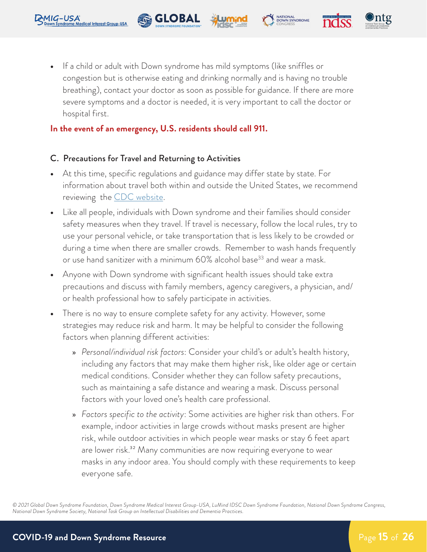

#### **In the event of an emergency, U.S. residents should call 911.**

**Re** GLOBAL

#### C. Precautions for Travel and Returning to Activities

- **•** At this time, specific regulations and guidance may differ state by state. For information about travel both within and outside the United States, we recommend reviewing the **CDC** website.
- **•** Like all people, individuals with Down syndrome and their families should consider safety measures when they travel. If travel is necessary, follow the local rules, try to use your personal vehicle, or take transportation that is less likely to be crowded or during a time when there are smaller crowds. Remember to wash hands frequently or use hand sanitizer with a minimum 60% alcohol base<sup>33</sup> and wear a mask.
- **•** Anyone with Down syndrome with significant health issues should take extra precautions and discuss with family members, agency caregivers, a physician, and/ or health professional how to safely participate in activities.
- **•** There is no way to ensure complete safety for any activity. However, some strategies may reduce risk and harm. It may be helpful to consider the following factors when planning different activities:
	- » *Personal/individual risk factors*: Consider your child's or adult's health history, including any factors that may make them higher risk, like older age or certain medical conditions. Consider whether they can follow safety precautions, such as maintaining a safe distance and wearing a mask. Discuss personal factors with your loved one's health care professional.
	- » *Factors specific to the activity*: Some activities are higher risk than others. For example, indoor activities in large crowds without masks present are higher risk, while outdoor activities in which people wear masks or stay 6 feet apart are lower risk.<sup>32</sup> Many communities are now requiring everyone to wear masks in any indoor area. You should comply with these requirements to keep everyone safe.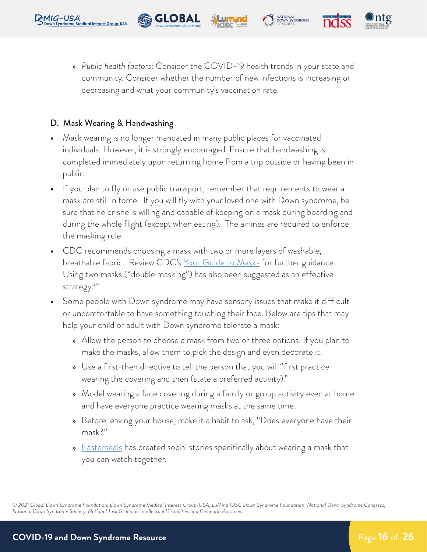

**Re** GLOBAL

#### D. Mask Wearing & Handwashing

- **•** Mask wearing is no longer mandated in many public places for vaccinated individuals. However, it is strongly encouraged. Ensure that handwashing is completed immediately upon returning home from a trip outside or having been in public.
- **•** If you plan to fly or use public transport, remember that requirements to wear a mask are still in force. If you will fly with your loved one with Down syndrome, be sure that he or she is willing and capable of keeping on a mask during boarding and during the whole flight (except when eating). The airlines are required to enforce the masking rule.
- **•** CDC recommends choosing a mask with two or more layers of washable, breathable fabric. Review [CDC's Your Guide to Masks](https://www.cdc.gov/coronavirus/2019-ncov/prevent-getting-sick/about-face-coverings.html) for further guidance. Using two masks ("double masking") has also been suggested as an effective strategy.<sup>34</sup>
- **•** Some people with Down syndrome may have sensory issues that make it difficult or uncomfortable to have something touching their face. Below are tips that may help your child or adult with Down syndrome tolerate a mask:
	- » Allow the person to choose a mask from two or three options. If you plan to make the masks, allow them to pick the design and even decorate it.
	- » Use a first-then directive to tell the person that you will "first practice wearing the covering and then (state a preferred activity)."
	- » Model wearing a face covering during a family or group activity even at home and have everyone practice wearing masks at the same time.
	- » Before leaving your house, make it a habit to ask, "Does everyone have their mask?"
	- » [Easterseals](https://www.youtube.com/watch?v=ipvbNzK4nXc) has created social stories specifically about wearing a mask that you can watch together.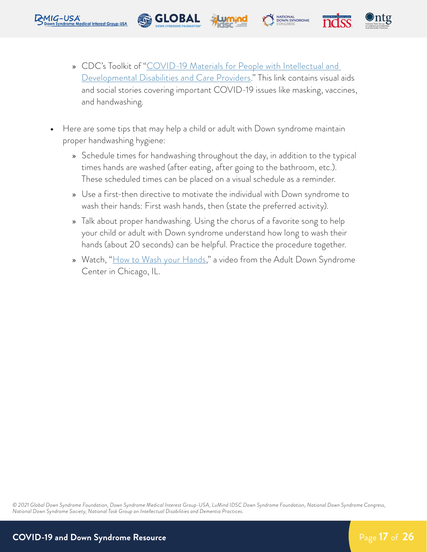<span id="page-17-0"></span>

**•** Here are some tips that may help a child or adult with Down syndrome maintain proper handwashing hygiene:

**Re** GLOBAL

- » Schedule times for handwashing throughout the day, in addition to the typical times hands are washed (after eating, after going to the bathroom, etc.). These scheduled times can be placed on a visual schedule as a reminder.
- » Use a first-then directive to motivate the individual with Down syndrome to wash their hands: First wash hands, then (state the preferred activity).
- » Talk about proper handwashing. Using the chorus of a favorite song to help your child or adult with Down syndrome understand how long to wash their hands (about 20 seconds) can be helpful. Practice the procedure together.
- » Watch, ["How to Wash your Hands](https://adscresources.advocatehealth.com/how-to-wash-your-hands-video/)," a video from the Adult Down Syndrome Center in Chicago, IL.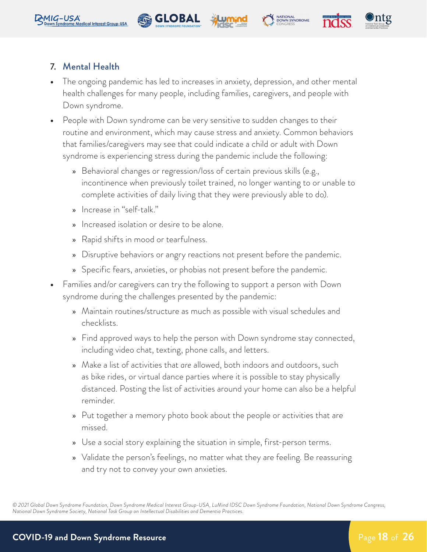







#### 7. Mental Health

- **•** The ongoing pandemic has led to increases in anxiety, depression, and other mental health challenges for many people, including families, caregivers, and people with Down syndrome.
- **•** People with Down syndrome can be very sensitive to sudden changes to their routine and environment, which may cause stress and anxiety. Common behaviors that families/caregivers may see that could indicate a child or adult with Down syndrome is experiencing stress during the pandemic include the following:
	- » Behavioral changes or regression/loss of certain previous skills (e.g., incontinence when previously toilet trained, no longer wanting to or unable to complete activities of daily living that they were previously able to do).
	- » Increase in "self-talk."
	- » Increased isolation or desire to be alone.
	- » Rapid shifts in mood or tearfulness.
	- » Disruptive behaviors or angry reactions not present before the pandemic.
	- » Specific fears, anxieties, or phobias not present before the pandemic.
- **•** Families and/or caregivers can try the following to support a person with Down syndrome during the challenges presented by the pandemic:
	- » Maintain routines/structure as much as possible with visual schedules and checklists.
	- » Find approved ways to help the person with Down syndrome stay connected, including video chat, texting, phone calls, and letters.
	- » Make a list of activities that *are* allowed, both indoors and outdoors, such as bike rides, or virtual dance parties where it is possible to stay physically distanced. Posting the list of activities around your home can also be a helpful reminder.
	- » Put together a memory photo book about the people or activities that are missed.
	- » Use a social story explaining the situation in simple, first-person terms.
	- » Validate the person's feelings, no matter what they are feeling. Be reassuring and try not to convey your own anxieties.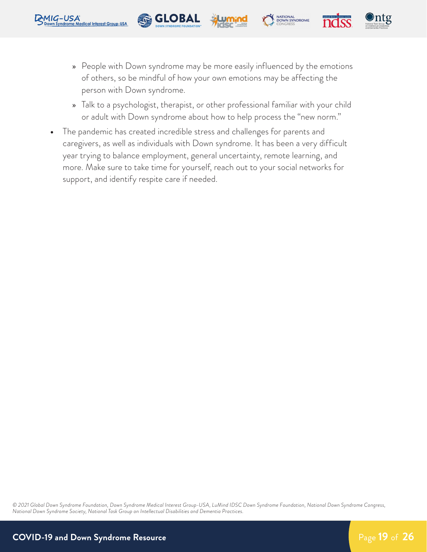<span id="page-19-0"></span>

**Re** GLOBAL

NATIONAL<br>DOWN SYNDROME

- » Talk to a psychologist, therapist, or other professional familiar with your child or adult with Down syndrome about how to help process the "new norm."
- **•** The pandemic has created incredible stress and challenges for parents and caregivers, as well as individuals with Down syndrome. It has been a very difficult year trying to balance employment, general uncertainty, remote learning, and more. Make sure to take time for yourself, reach out to your social networks for support, and identify respite care if needed.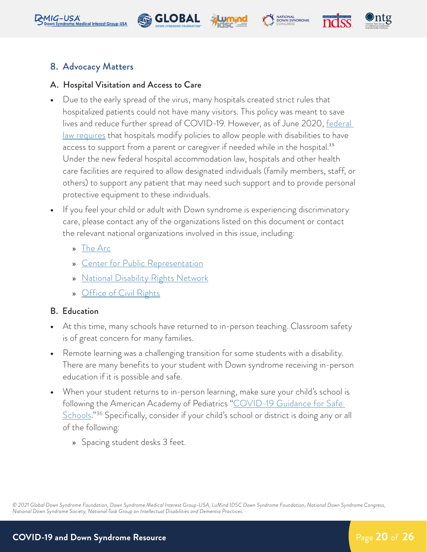









#### A. Hospital Visitation and Access to Care

- **•** Due to the early spread of the virus, many hospitals created strict rules that hospitalized patients could not have many visitors. This policy was meant to save lives and reduce further spread of COVID-19. However, as of June 2020, [federal](https://www.centerforpublicrep.org/news/resolution-of-federal-complaint-filed-by-cpr-and-partners-makes-clear-hospital-visitor-policies-nationwide-must-accommodate-patients-with-disabilities-during-covid-19-pandemic/)  [law requires](https://www.centerforpublicrep.org/news/resolution-of-federal-complaint-filed-by-cpr-and-partners-makes-clear-hospital-visitor-policies-nationwide-must-accommodate-patients-with-disabilities-during-covid-19-pandemic/) that hospitals modify policies to allow people with disabilities to have access to support from a parent or caregiver if needed while in the hospital.<sup>35</sup> Under the new federal hospital accommodation law, hospitals and other health care facilities are required to allow designated individuals (family members, staff, or others) to support any patient that may need such support and to provide personal protective equipment to these individuals.
- **•** If you feel your child or adult with Down syndrome is experiencing discriminatory care, please contact any of the organizations listed on this document or contact the relevant national organizations involved in this issue, including:
	- » [The Arc](https://thearc.org/covid/)
	- » [Center for Public Representation](https://www.centerforpublicrep.org/)
	- » [National Disability Rights Network](https://www.ndrn.org/about/)
	- » [Office of Civil Rights](https://www.hhs.gov/ocr/index.html)

#### B. Education

- **•** At this time, many schools have returned to in-person teaching. Classroom safety is of great concern for many families.
- **•** Remote learning was a challenging transition for some students with a disability. There are many benefits to your student with Down syndrome receiving in-person education if it is possible and safe.
- **•** When your student returns to in-person learning, make sure your child's school is following the American Academy of Pediatrics "COVID-19 Guidance for Safe [Schools](https://www.aap.org/en/pages/2019-novel-coronavirus-covid-19-infections/clinical-guidance/covid-19-planning-considerations-return-to-in-person-education-in-schools/)."<sup>36</sup> Specifically, consider if your child's school or district is doing any or all of the following:
	- » Spacing student desks 3 feet.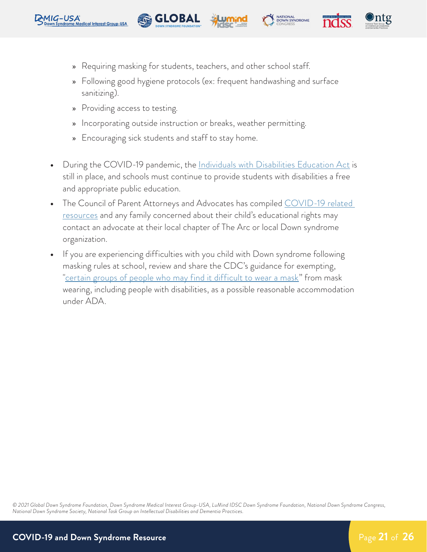<span id="page-21-0"></span>



» Following good hygiene protocols (ex: frequent handwashing and surface sanitizing).

NATIONAL<br>DOWN SYNDROME

- » Providing access to testing.
- » Incorporating outside instruction or breaks, weather permitting.
- » Encouraging sick students and staff to stay home.

**Re** GLOBAL

- **•** During the COVID-19 pandemic, the [Individuals with Disabilities Education Act](https://sites.ed.gov/idea/about-idea/ ) is still in place, and schools must continue to provide students with disabilities a free and appropriate public education.
- **•** The Council of Parent Attorneys and Advocates has compiled [COVID-19 related](https://www.copaa.org/page/covid-19)  [resources](https://www.copaa.org/page/covid-19) and any family concerned about their child's educational rights may contact an advocate at their local chapter of The Arc or local Down syndrome organization.
- **•** If you are experiencing difficulties with you child with Down syndrome following masking rules at school, review and share the CDC's guidance for exempting, "[certain groups of people who may find it difficult to wear a mask"](https://www.cdc.gov/coronavirus/2019-ncov/community/schools-childcare/k-12-guidance.html) from mask wearing, including people with disabilities, as a possible reasonable accommodation under ADA.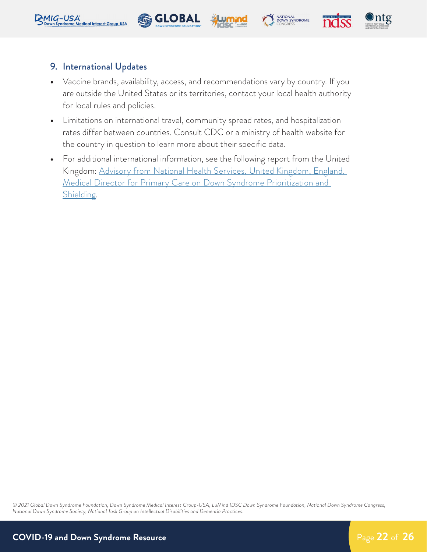<span id="page-22-0"></span>







#### 9. International Updates

- **•** Vaccine brands, availability, access, and recommendations vary by country. If you are outside the United States or its territories, contact your local health authority for local rules and policies.
- **•** Limitations on international travel, community spread rates, and hospitalization rates differ between countries. Consult CDC or a ministry of health website for the country in question to learn more about their specific data.
- **•** For additional international information, see the following report from the United Kingdom: [Advisory from National Health Services, United Kingdom, England,](https://www.england.nhs.uk/coronavirus/wp-content/uploads/sites/52/2020/03/C0830-i-gp-update-update-clinically-extremely-vulnerable-2nov.pdf)  [Medical Director for Primary Care on Down Syndrome Prioritization and](https://www.england.nhs.uk/coronavirus/wp-content/uploads/sites/52/2020/03/C0830-i-gp-update-update-clinically-extremely-vulnerable-2nov.pdf)  [Shielding](https://www.england.nhs.uk/coronavirus/wp-content/uploads/sites/52/2020/03/C0830-i-gp-update-update-clinically-extremely-vulnerable-2nov.pdf).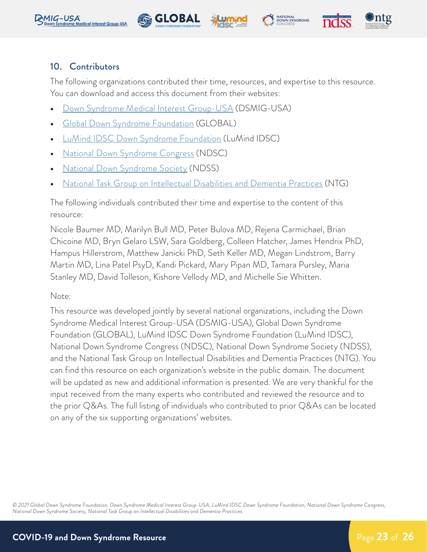<span id="page-23-0"></span>







#### 10. Contributors

The following organizations contributed their time, resources, and expertise to this resource. You can download and access this document from their websites:

**•** [Down Syndrome Medical Interest Group-USA](https://www.dsmig-usa.org/covid19) (DSMIG-USA)

**Re** GLOBAL

- **•** [Global Down Syndrome Foundation](https://www.globaldownsyndrome.org/global-statement-covid-19/) (GLOBAL)
- **•** [LuMind IDSC Down Syndrome Foundation](https://www.lumindidsc.org/s/1914/20/interior.aspx?sid=1914&gid=2&pgid=588) (LuMind IDSC)
- **•** [National Down Syndrome Congress](https://www.ndsccenter.org/programs-resources/covid-19-resources/) (NDSC)
- **•** [National Down Syndrome Society](https://www.ndss.org/covid-19-fact-sheet/) (NDSS)
- **•** [National Task Group on Intellectual Disabilities and Dementia Practices](https://www.the-ntg.org/covid-19-1) (NTG)

The following individuals contributed their time and expertise to the content of this resource:

Nicole Baumer MD, Marilyn Bull MD, Peter Bulova MD, Rejena Carmichael, Brian Chicoine MD, Bryn Gelaro LSW, Sara Goldberg, Colleen Hatcher, James Hendrix PhD, Hampus Hillerstrom, Matthew Janicki PhD, Seth Keller MD, Megan Lindstrom, Barry Martin MD, Lina Patel PsyD, Kandi Pickard, Mary Pipan MD, Tamara Pursley, Maria Stanley MD, David Tolleson, Kishore Vellody MD, and Michelle Sie Whitten.

Note:

This resource was developed jointly by several national organizations, including the Down Syndrome Medical Interest Group-USA (DSMIG-USA), Global Down Syndrome Foundation (GLOBAL), LuMind IDSC Down Syndrome Foundation (LuMind IDSC), National Down Syndrome Congress (NDSC), National Down Syndrome Society (NDSS), and the National Task Group on Intellectual Disabilities and Dementia Practices (NTG). You can find this resource on each organization's website in the public domain. The document will be updated as new and additional information is presented. We are very thankful for the input received from the many experts who contributed and reviewed the resource and to the prior Q&As. The full listing of individuals who contributed to prior Q&As can be located on any of the six supporting organizations' websites.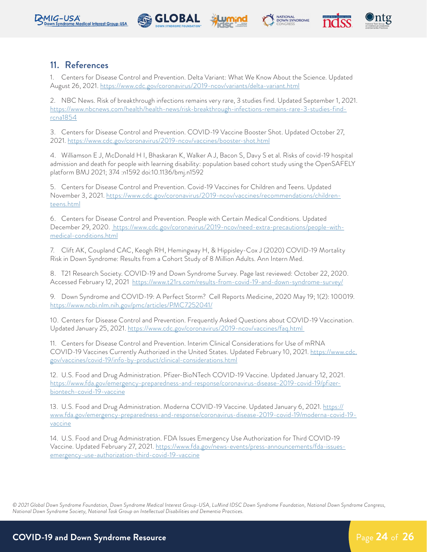









#### 11. References

1. Centers for Disease Control and Prevention. Delta Variant: What We Know About th[e](https://www.cdc.gov/coronavirus/2019-ncov/need-extra-precautions/people-with-medical-conditions.html) Science. Updated August 26, 2021. <https://www.cdc.gov/coronavirus/2019-ncov/variants/delta-variant.html>

2. NBC News. Risk of breakthrough infections remains very rare, 3 studies find. Updated September 1, 2021. [https://www.nbcnews.com/health/health-news/risk-breakthrough-infections-remains-rare-3-studies-find](https://www.nbcnews.com/health/health-news/risk-breakthrough-infections-remains-rare-3-studies-find-)[rcna1854](https://www.nbcnews.com/health/health-news/risk-breakthrough-infections-remains-rare-3-studies-find-)

3. Centers for Disease Control and Prevention. COVID-19 Vaccine Booster Shot. Updated October 27, 2021.<https://www.cdc.gov/coronavirus/2019-ncov/vaccines/booster-shot.html>

4. Williamson E J, McDonald H I, Bhaskaran K, Walker A J, Bacon S, Davy S et al. Risks of covid-19 hospital admission and death for people with learning disability: population based cohort study using the OpenSAFELY platform BMJ 2021; 374 :n1592 doi:10.1136/bmj.n1592

5. Centers for Disease Control and Prevention. Covid-19 Vaccines for Children and Teens. Updated November 3, 2021. [https://www.cdc.gov/coronavirus/2019-ncov/vaccines/recommendations/children](https://www.cdc.gov/coronavirus/2019-ncov/vaccines/recommendations/children-teens.html)[teens.html](https://www.cdc.gov/coronavirus/2019-ncov/vaccines/recommendations/children-teens.html)

6. Centers for Disease Control and Prevention. People with Certain Medical Conditions. Updated December 29, 2020. [https://www.cdc.gov/coronavirus/2019-ncov/need-extra-precautions/people-with]( https://www.cdc.gov/coronavirus/2019-ncov/need-extra-precautions/people-with-medical-conditions.htm)[medical-conditions.html]( https://www.cdc.gov/coronavirus/2019-ncov/need-extra-precautions/people-with-medical-conditions.htm)

7. Clift AK, Coupland CAC, Keogh RH, Hemingway H, & Hippisley-Cox J (2020) COVID-19 Mortality Risk in Down Syndrome: Results from a Cohort Study of 8 Million Adults. Ann Intern Med.

8. T21 Research Society. COVID-19 and Down Syndrome Survey. Page last reviewed: October 22, 2020. Accessed February 12, 2021 <https://www.t21rs.com/results-from-covid-19-and-down-syndrome-survey/>

9. Down Syndrome and COVID-19: A Perfect Storm? Cell Reports Medicine, 2020 May 19; 1(2): 100019. <https://www.ncbi.nlm.nih.gov/pmc/articles/PMC7252041/>

10. Centers for Disease Control and Prevention. Frequently Asked Questions about COVID-19 Vaccination. Updated January 25, 2021. [https://www.cdc.gov/coronavirus/2019-ncov/vaccines/faq.html](https://www.cdc.gov/coronavirus/2019-ncov/vaccines/faq.html ) 

11. Centers for Disease Control and Prevention. Interim Clinical Considerations for Use of mRNA COVID-19 Vaccines Currently Authorized in the United States. Updated February 10, 2021. [https://www.cdc.](https://www.cdc.gov/vaccines/covid-19/info-by-product/clinical-considerations.html) [gov/vaccines/covid-19/info-by-product/clinical-considerations.html](https://www.cdc.gov/vaccines/covid-19/info-by-product/clinical-considerations.html)

12. U.S. Food and Drug Administration. Pfizer-BioNTech COVID-19 Vaccine. Updated January 12, 2021. [https://www.fda.gov/emergency-preparedness-and-response/coronavirus-disease-2019-covid-19/pfizer](https://www.fda.gov/emergency-preparedness-and-response/coronavirus-disease-2019-covid-19/pfizer-bio)[biontech-covid-19-vaccine](https://www.fda.gov/emergency-preparedness-and-response/coronavirus-disease-2019-covid-19/pfizer-bio)

13. U.S. Food and Drug Administration. Moderna COVID-19 Vaccine. Updated January 6, 2021. [https://](https://www.fda.gov/emergency-preparedness-and-response/coronavirus-disease-2019-covid-19/moderna-co) [www.fda.gov/emergency-preparedness-and-response/coronavirus-disease-2019-covid-19/moderna-covid-19](https://www.fda.gov/emergency-preparedness-and-response/coronavirus-disease-2019-covid-19/moderna-co) [vaccine](https://www.fda.gov/emergency-preparedness-and-response/coronavirus-disease-2019-covid-19/moderna-co)

14. U.S. Food and Drug Administration. FDA Issues Emergency Use Authorization for Third COVID-19 Vaccine. Updated February 27, 2021. [https://www.fda.gov/news-events/press-announcements/fda-issues](https://www.fda.gov/news-events/press-announcements/fda-issues-emergency-use-authorization-third-cov)[emergency-use-authorization-third-covid-19-vaccine](https://www.fda.gov/news-events/press-announcements/fda-issues-emergency-use-authorization-third-cov)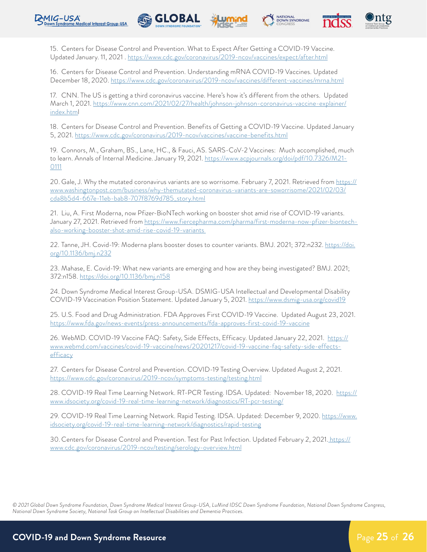







15. Centers for Disease Control and Prevention. What to Expect After Getting a COVID-19 Vaccine. Updated January. 11, 2021 .<https://www.cdc.gov/coronavirus/2019-ncov/vaccines/expect/after.html>

16. Centers for Disease Control and Prevention. Understanding mRNA COVID-19 Vaccines. Updated December 18, 2020. <https://www.cdc.gov/coronavirus/2019-ncov/vaccines/different-vaccines/mrna.html>

17. CNN. The US is getting a third coronavirus vaccine. Here's how it's different from the others. Updated March 1, 2021. [https://www.cnn.com/2021/02/27/health/johnson-johnson-coronavirus-vaccine-explainer/](https://www.cnn.com/2021/02/27/health/johnson-johnson-coronavirus-vaccine-explainer/index.htm) [index.html](https://www.cnn.com/2021/02/27/health/johnson-johnson-coronavirus-vaccine-explainer/index.htm)

18. Centers for Disease Control and Prevention. Benefits of Getting a COVID-19 Vaccine. Updated January 5, 2021. <https://www.cdc.gov/coronavirus/2019-ncov/vaccines/vaccine-benefits.html>

19. Connors, M., Graham, BS., Lane, HC., & Fauci, AS. SARS-CoV-2 Vaccines: Much accomplished, much to learn. Annals of Internal Medicine. January 19, 2021. [https://www.acpjournals.org/doi/pdf/10.7326/M21-](https://www.acpjournals.org/doi/pdf/10.7326/M21-0111) [0111](https://www.acpjournals.org/doi/pdf/10.7326/M21-0111)

20. Gale, J. Why the mutated coronavirus variants are so worrisome. February 7, 2021. Retrieved from [https://](https://www.washingtonpost.com/business/why-themutated-coronavirus-variants-are-soworrisome/2021/02/) [www.washingtonpost.com/business/why-themutated-coronavirus-variants-are-soworrisome/2021/02/03/](https://www.washingtonpost.com/business/why-themutated-coronavirus-variants-are-soworrisome/2021/02/) [cda8b5d4-667e-11eb-bab8-707f8769d785\\_story.html](https://www.washingtonpost.com/business/why-themutated-coronavirus-variants-are-soworrisome/2021/02/)

21. Liu, A. First Moderna, now Pfizer-BioNTech working on booster shot amid rise of COVID-19 variants. January 27, 2021. Retrieved from [https://www.fiercepharma.com/pharma/first-moderna-now-pfizer-biontech](https://www.fiercepharma.com/pharma/first-moderna-now-pfizer-biontech-also-working-booster-shot-amid)[also-working-booster-shot-amid-rise-covid-19-variants](https://www.fiercepharma.com/pharma/first-moderna-now-pfizer-biontech-also-working-booster-shot-amid) 

22. Tanne, JH. Covid-19: Moderna plans booster doses to counter variants. BMJ. 2021; 372:n232. [https://doi.](https://doi.org/10.1136/bmj.n232) [org/10.1136/bmj.n232](https://doi.org/10.1136/bmj.n232)

23. Mahase, E. Covid-19: What new variants are emerging and how are they being investigated? BMJ. 2021; 372:n158.<https://doi.org/10.1136/bmj.n158>

24. Down Syndrome Medical Interest Group-USA. DSMIG-USA Intellectual and Developmental Disability COVID-19 Vaccination Position Statement. Updated January 5, 2021.<https://www.dsmig-usa.org/covid19>

25. U.S. Food and Drug Administration. FDA Approves First COVID-19 Vaccine. Updated August 23, 2021. <https://www.fda.gov/news-events/press-announcements/fda-approves-first-covid-19-vaccine>

26. WebMD. COVID-19 Vaccine FAQ: Safety, Side Effects, Efficacy. Updated January 22, 2021. [https://](https://www.webmd.com/vaccines/covid-19-vaccine/news/20201217/covid-19-vaccine-faq-safety-side-effec) [www.webmd.com/vaccines/covid-19-vaccine/news/20201217/covid-19-vaccine-faq-safety-side-effects](https://www.webmd.com/vaccines/covid-19-vaccine/news/20201217/covid-19-vaccine-faq-safety-side-effec)[efficacy](https://www.webmd.com/vaccines/covid-19-vaccine/news/20201217/covid-19-vaccine-faq-safety-side-effec)

27. Centers for Disease Control and Prevention. COVID-19 Testing Overview. Updated August 2, 2021. <https://www.cdc.gov/coronavirus/2019-ncov/symptoms-testing/testing.html>

28. COVID-19 Real Time Learning Network. RT-PCR Testing. IDSA. Updated: November 18, 2020. [https://](https://www.idsociety.org/covid-19-real-time-learning-network/diagnostics/RT-pcr-testing/) [www.idsociety.org/covid-19-real-time-learning-network/diagnostics/RT-pcr-testing/](https://www.idsociety.org/covid-19-real-time-learning-network/diagnostics/RT-pcr-testing/)

29. COVID-19 Real Time Learning Network. Rapid Testing. IDSA. Updated: December 9, 2020. [https://www.](https://www.idsociety.org/covid-19-real-time-learning-network/diagnostics/rapid-testing) [idsociety.org/covid-19-real-time-learning-network/diagnostics/rapid-testing](https://www.idsociety.org/covid-19-real-time-learning-network/diagnostics/rapid-testing)

30. Centers for Disease Control and Prevention. Test for Past Infection. Updated February 2, 2021. [https://]( https://www.cdc.gov/coronavirus/2019-ncov/testing/serology-overview.html) [www.cdc.gov/coronavirus/2019-ncov/testing/serology-overview.html]( https://www.cdc.gov/coronavirus/2019-ncov/testing/serology-overview.html)